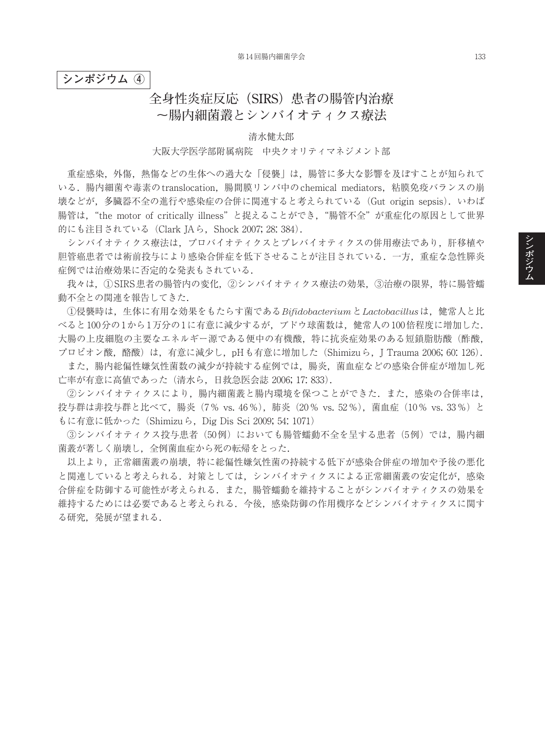**シンポジウム ④**

## **全身性炎症反応(SIRS)患者の腸管内治療 ~腸内細菌叢とシンバイオティクス療法**

清水健太郎

大阪大学医学部附属病院 中央クオリティマネジメント部

重症感染,外傷,熱傷などの生体への過大な「侵襲」は,腸管に多大な影響を及ぼすことが知られて いる. 腸内細菌や毒素のtranslocation, 腸間膜リンパ中のchemical mediators, 粘膜免疫バランスの崩 壊などが,多臓器不全の進行や感染症の合併に関連すると考えられている(Gut origin sepsis). いわば 腸管は、"the motor of critically illness"と捉えることができ、"腸管不全"が重症化の原因として世界 的にも注目されている (Clark JAら, Shock 2007; 28: 384).

シンバイオティクス療法は,プロバイオティクスとプレバイオティクスの併用療法であり,肝移植や 胆管癌患者では術前投与により感染合併症を低下させることが注目されている.一方,重症な急性膵炎 症例では治療効果に否定的な発表もされている.

我々は、①SIRS患者の腸管内の変化、②シンバイオティクス療法の効果、③治療の限界,特に腸管蠕 動不全との関連を報告してきた.

①侵襲時は,生体に有用な効果をもたらす菌である*Bifidobacterium*と*Lactobacillus*は,健常人と比 べると100分の1から1万分の1に有意に減少するが,ブドウ球菌数は,健常人の100倍程度に増加した. 大腸の上皮細胞の主要なエネルギー源である便中の有機酸,特に抗炎症効果のある短鎖脂肪酸(酢酸, プロピオン酸,酪酸)は,有意に減少し,pHも有意に増加した(Shimizuら,J Trauma 2006; 60: 126).

また,腸内総偏性嫌気性菌数の減少が持続する症例では,腸炎,菌血症などの感染合併症が増加し死 亡率が有意に高値であった(清水ら,日救急医会誌 2006; 17: 833).

②シンバイオティクスにより,腸内細菌叢と腸内環境を保つことができた.また,感染の合併率は, 投与群は非投与群と比べて, 腸炎 (7% vs. 46%), 肺炎 (20% vs. 52%), 菌血症 (10% vs. 33%) と もに有意に低かった (Shimizuら, Dig Dis Sci 2009; 54: 1071)

③シンバイオティクス投与患者(50例)においても腸管蠕動不全を呈する患者(5例)では,腸内細 菌叢が著しく崩壊し,全例菌血症から死の転帰をとった.

以上より,正常細菌叢の崩壊,特に総偏性嫌気性菌の持続する低下が感染合併症の増加や予後の悪化 と関連していると考えられる.対策としては、シンバイオティクスによる正常細菌叢の安定化が、感染 合併症を防御する可能性が考えられる.また,腸管蠕動を維持することがシンバイオティクスの効果を 維持するためには必要であると考えられる.今後,感染防御の作用機序などシンバイオティクスに関す る研究,発展が望まれる.